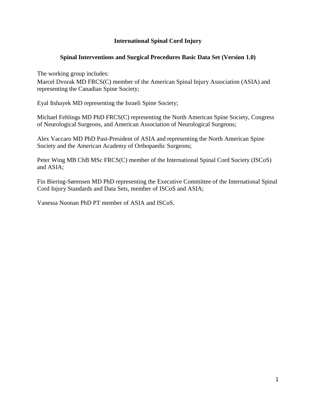# **International Spinal Cord Injury**

# **Spinal Interventions and Surgical Procedures Basic Data Set (Version 1.0)**

The working group includes:

Marcel Dvorak MD FRCS(C) member of the American Spinal Injury Association (ASIA) and representing the Canadian Spine Society;

Eyal Itshayek MD representing the Israeli Spine Society;

Michael Fehlings MD PhD FRCS(C) representing the North American Spine Society, Congress of Neurological Surgeons, and American Association of Neurological Surgeons;

Alex Vaccaro MD PhD Past-President of ASIA and representing the North American Spine Society and the American Academy of Orthopaedic Surgeons;

Peter Wing MB ChB MSc FRCS(C) member of the International Spinal Cord Society (ISCoS) and ASIA;

Fin Biering-Sørensen MD PhD representing the Executive Committee of the International Spinal Cord Injury Standards and Data Sets, member of ISCoS and ASIA;

Vanessa Noonan PhD PT member of ASIA and ISCoS.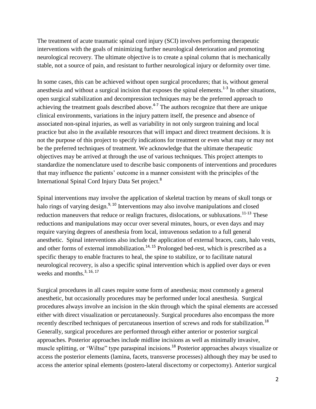The treatment of acute traumatic spinal cord injury (SCI) involves performing therapeutic interventions with the goals of minimizing further neurological deterioration and promoting neurological recovery. The ultimate objective is to create a spinal column that is mechanically stable, not a source of pain, and resistant to further neurological injury or deformity over time.

In some cases, this can be achieved without open surgical procedures; that is, without general anesthesia and without a surgical incision that exposes the spinal elements.<sup>1-3</sup> In other situations, open surgical stabilization and decompression techniques may be the preferred approach to achieving the treatment goals described above.<sup> $4-7$ </sup> The authors recognize that there are unique clinical environments, variations in the injury pattern itself, the presence and absence of associated non-spinal injuries, as well as variability in not only surgeon training and local practice but also in the available resources that will impact and direct treatment decisions. It is not the purpose of this project to specify indications for treatment or even what may or may not be the preferred techniques of treatment. We acknowledge that the ultimate therapeutic objectives may be arrived at through the use of various techniques. This project attempts to standardize the nomenclature used to describe basic components of interventions and procedures that may influence the patients' outcome in a manner consistent with the principles of the International Spinal Cord Injury Data Set project.<sup>8</sup>

Spinal interventions may involve the application of skeletal traction by means of skull tongs or halo rings of varying design.<sup>9, 10</sup> Interventions may also involve manipulations and closed reduction maneuvers that reduce or realign fractures, dislocations, or subluxations.<sup>11-13</sup> These reductions and manipulations may occur over several minutes, hours, or even days and may require varying degrees of anesthesia from local, intravenous sedation to a full general anesthetic. Spinal interventions also include the application of external braces, casts, halo vests, and other forms of external immobilization.<sup>14, 15</sup> Prolonged bed-rest, which is prescribed as a specific therapy to enable fractures to heal, the spine to stabilize, or to facilitate natural neurological recovery, is also a specific spinal intervention which is applied over days or even weeks and months.<sup>3, 16, 17</sup>

Surgical procedures in all cases require some form of anesthesia; most commonly a general anesthetic, but occasionally procedures may be performed under local anesthesia. Surgical procedures always involve an incision in the skin through which the spinal elements are accessed either with direct visualization or percutaneously. Surgical procedures also encompass the more recently described techniques of percutaneous insertion of screws and rods for stabilization.<sup>18</sup> Generally, surgical procedures are performed through either anterior or posterior surgical approaches. Posterior approaches include midline incisions as well as minimally invasive, muscle splitting, or 'Wiltse" type paraspinal incisions.<sup>18</sup> Posterior approaches always visualize or access the posterior elements (lamina, facets, transverse processes) although they may be used to access the anterior spinal elements (postero-lateral discectomy or corpectomy). Anterior surgical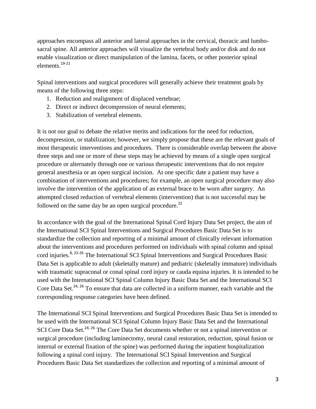approaches encompass all anterior and lateral approaches in the cervical, thoracic and lumbosacral spine. All anterior approaches will visualize the vertebral body and/or disk and do not enable visualization or direct manipulation of the lamina, facets, or other posterior spinal elements.19-21

Spinal interventions and surgical procedures will generally achieve their treatment goals by means of the following three steps:

- 1. Reduction and realignment of displaced vertebrae;
- 2. Direct or indirect decompression of neural elements;
- 3. Stabilization of vertebral elements.

It is not our goal to debate the relative merits and indications for the need for reduction, decompression, or stabilization; however, we simply propose that these are the relevant goals of most therapeutic interventions and procedures. There is considerable overlap between the above three steps and one or more of these steps may be achieved by means of a single open surgical procedure or alternately through one or various therapeutic interventions that do not require general anesthesia or an open surgical incision. At one specific date a patient may have a combination of interventions and procedures; for example, an open surgical procedure may also involve the intervention of the application of an external brace to be worn after surgery. An attempted closed reduction of vertebral elements (intervention) that is not successful may be followed on the same day be an open surgical procedure.<sup>22</sup>

In accordance with the goal of the International Spinal Cord Injury Data Set project, the aim of the International SCI Spinal Interventions and Surgical Procedures Basic Data Set is to standardize the collection and reporting of a minimal amount of clinically relevant information about the interventions and procedures performed on individuals with spinal column and spinal cord injuries.<sup>8, 23-26</sup> The International SCI Spinal Interventions and Surgical Procedures Basic Data Set is applicable to adult (skeletally mature) and pediatric (skeletally immature) individuals with traumatic supraconal or conal spinal cord injury or cauda equina injuries. It is intended to be used with the International SCI Spinal Column Injury Basic Data Set and the International SCI Core Data Set.<sup>24, 26</sup> To ensure that data are collected in a uniform manner, each variable and the corresponding response categories have been defined.

The International SCI Spinal Interventions and Surgical Procedures Basic Data Set is intended to be used with the International SCI Spinal Column Injury Basic Data Set and the International SCI Core Data Set.<sup>24, 26</sup> The Core Data Set documents whether or not a spinal intervention or surgical procedure (including laminectomy, neural canal restoration, reduction, spinal fusion or internal or external fixation of the spine) was performed during the inpatient hospitalization following a spinal cord injury. The International SCI Spinal Intervention and Surgical Procedures Basic Data Set standardizes the collection and reporting of a minimal amount of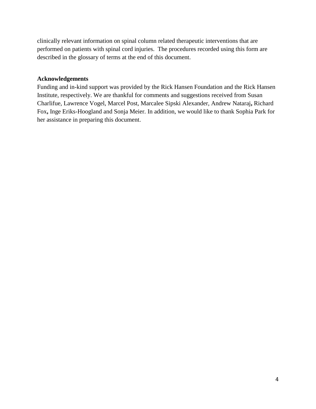clinically relevant information on spinal column related therapeutic interventions that are performed on patients with spinal cord injuries. The procedures recorded using this form are described in the glossary of terms at the end of this document.

# **Acknowledgements**

Funding and in-kind support was provided by the Rick Hansen Foundation and the Rick Hansen Institute, respectively. We are thankful for comments and suggestions received from Susan Charlifue, Lawrence Vogel, Marcel Post, Marcalee Sipski Alexander, Andrew Nataraj**,** Richard Fox**,** Inge Eriks-Hoogland and Sonja Meier. In addition, we would like to thank Sophia Park for her assistance in preparing this document.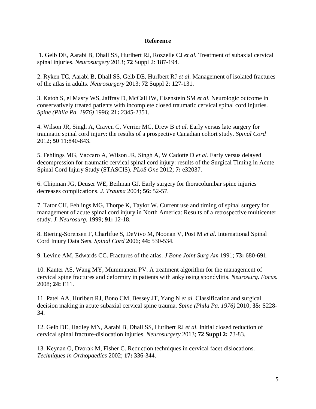#### **Reference**

1. Gelb DE, Aarabi B, Dhall SS, Hurlbert RJ, Rozzelle CJ *et al.* Treatment of subaxial cervical spinal injuries. *Neurosurgery* 2013; **72** Suppl 2: 187-194.

2. Ryken TC, Aarabi B, Dhall SS, Gelb DE, Hurlbert RJ *et al.* Management of isolated fractures of the atlas in adults. *Neurosurgery* 2013; **72** Suppl 2: 127-131.

3. Katoh S, el Masry WS, Jaffray D, McCall IW, Eisenstein SM *et al.* Neurologic outcome in conservatively treated patients with incomplete closed traumatic cervical spinal cord injuries. *Spine (Phila Pa. 1976)* 1996; **21:** 2345-2351.

4. Wilson JR, Singh A, Craven C, Verrier MC, Drew B *et al.* Early versus late surgery for traumatic spinal cord injury: the results of a prospective Canadian cohort study. *Spinal Cord* 2012; **50** 11:840-843.

5. Fehlings MG, Vaccaro A, Wilson JR, Singh A, W Cadotte D *et al.* Early versus delayed decompression for traumatic cervical spinal cord injury: results of the Surgical Timing in Acute Spinal Cord Injury Study (STASCIS). *PLoS One* 2012; **7:** e32037.

6. Chipman JG, Deuser WE, Beilman GJ. Early surgery for thoracolumbar spine injuries decreases complications. *J. Trauma* 2004; **56:** 52-57.

7. Tator CH, Fehlings MG, Thorpe K, Taylor W. Current use and timing of spinal surgery for management of acute spinal cord injury in North America: Results of a retrospective multicenter study. *J. Neurosurg.* 1999; **91:** 12-18.

8. Biering-Sorensen F, Charlifue S, DeVivo M, Noonan V, Post M *et al.* International Spinal Cord Injury Data Sets. *Spinal Cord* 2006; **44:** 530-534.

9. Levine AM, Edwards CC. Fractures of the atlas. *J Bone Joint Surg Am* 1991; **73:** 680-691.

10. Kanter AS, Wang MY, Mummaneni PV. A treatment algorithm for the management of cervical spine fractures and deformity in patients with ankylosing spondylitis. *Neurosurg. Focus.* 2008; **24:** E11.

11. Patel AA, Hurlbert RJ, Bono CM, Bessey JT, Yang N *et al.* Classification and surgical decision making in acute subaxial cervical spine trauma. *Spine (Phila Pa. 1976)* 2010; **35:** S228- 34.

12. Gelb DE, Hadley MN, Aarabi B, Dhall SS, Hurlbert RJ *et al.* Initial closed reduction of cervical spinal fracture-dislocation injuries. *Neurosurgery* 2013; **72 Suppl 2:** 73-83.

13. Keynan O, Dvorak M, Fisher C. Reduction techniques in cervical facet dislocations. *Techniques in Orthopaedics* 2002; **17:** 336-344.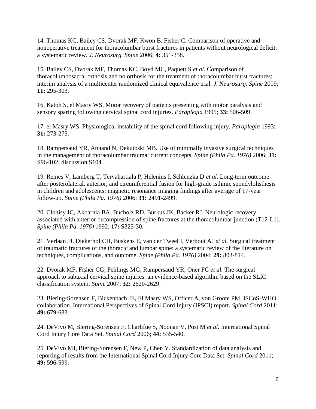14. Thomas KC, Bailey CS, Dvorak MF, Kwon B, Fisher C. Comparison of operative and nonoperative treatment for thoracolumbar burst fractures in patients without neurological deficit: a systematic review. *J. Neurosurg. Spine* 2006; **4:** 351-358.

15. Bailey CS, Dvorak MF, Thomas KC, Boyd MC, Paquett S *et al.* Comparison of thoracolumbosacral orthosis and no orthosis for the treatment of thoracolumbar burst fractures: interim analysis of a multicenter randomized clinical equivalence trial. *J. Neurosurg. Spine* 2009; **11:** 295-303.

16. Katoh S, el Masry WS. Motor recovery of patients presenting with motor paralysis and sensory sparing following cervical spinal cord injuries. *Paraplegia* 1995; **33:** 506-509.

17. el Masry WS. Physiological instability of the spinal cord following injury. *Paraplegia* 1993; **31:** 273-275.

18. Rampersaud YR, Annand N, Dekutoski MB. Use of minimally invasive surgical techniques in the management of thoracolumbar trauma: current concepts. *Spine (Phila Pa. 1976)* 2006; **31:** S96-102; discussion S104.

19. Remes V, Lamberg T, Tervahartiala P, Helenius I, Schlenzka D *et al.* Long-term outcome after posterolateral, anterior, and circumferential fusion for high-grade isthmic spondylolisthesis in children and adolescents: magnetic resonance imaging findings after average of 17-year follow-up. *Spine (Phila Pa. 1976)* 2006; **31:** 2491-2499.

20. Clohisy JC, Akbarnia BA, Bucholz RD, Burkus JK, Backer RJ. Neurologic recovery associated with anterior decompression of spine fractures at the thoracolumbar junction (T12-L1). *Spine (Phila Pa. 1976)* 1992; **17:** S325-30.

21. Verlaan JJ, Diekerhof CH, Buskens E, van der Tweel I, Verbout AJ *et al.* Surgical treatment of traumatic fractures of the thoracic and lumbar spine: a systematic review of the literature on techniques, complications, and outcome. *Spine (Phila Pa. 1976)* 2004; **29:** 803-814.

22. Dvorak MF, Fisher CG, Fehlings MG, Rampersaud YR, Oner FC *et al.* The surgical approach to subaxial cervical spine injuries: an evidence-based algorithm based on the SLIC classification system. *Spine* 2007; **32:** 2620-2629.

23. Biering-Sorensen F, Bickenbach JE, El Masry WS, Officer A, von Groote PM. ISCoS-WHO collaboration. International Perspectives of Spinal Cord Injury (IPSCI) report. *Spinal Cord* 2011; **49:** 679-683.

24. DeVivo M, Biering-Sorensen F, Charlifue S, Noonan V, Post M *et al.* International Spinal Cord Injury Core Data Set. *Spinal Cord* 2006; **44:** 535-540.

25. DeVivo MJ, Biering-Sorensen F, New P, Chen Y. Standardization of data analysis and reporting of results from the International Spinal Cord Injury Core Data Set. *Spinal Cord* 2011; **49:** 596-599.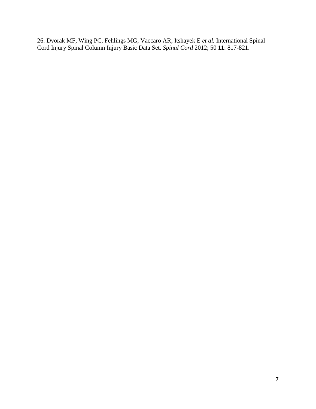26. Dvorak MF, Wing PC, Fehlings MG, Vaccaro AR, Itshayek E *et al.* International Spinal Cord Injury Spinal Column Injury Basic Data Set. *Spinal Cord* 2012; 50 **11**: 817-821.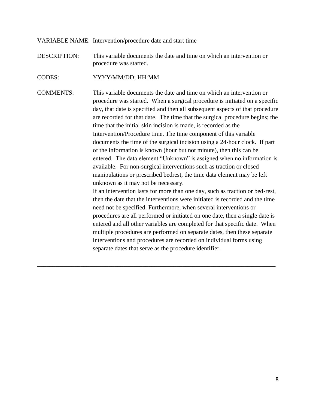VARIABLE NAME: Intervention/procedure date and start time

DESCRIPTION: This variable documents the date and time on which an intervention or procedure was started.

CODES: YYYY/MM/DD; HH:MM

COMMENTS: This variable documents the date and time on which an intervention or procedure was started. When a surgical procedure is initiated on a specific day, that date is specified and then all subsequent aspects of that procedure are recorded for that date. The time that the surgical procedure begins; the time that the initial skin incision is made, is recorded as the Intervention/Procedure time. The time component of this variable documents the time of the surgical incision using a 24-hour clock. If part of the information is known (hour but not minute), then this can be entered. The data element "Unknown" is assigned when no information is available. For non-surgical interventions such as traction or closed manipulations or prescribed bedrest, the time data element may be left unknown as it may not be necessary. If an intervention lasts for more than one day, such as traction or bed-rest, then the date that the interventions were initiated is recorded and the time need not be specified. Furthermore, when several interventions or

\_\_\_\_\_\_\_\_\_\_\_\_\_\_\_\_\_\_\_\_\_\_\_\_\_\_\_\_\_\_\_\_\_\_\_\_\_\_\_\_\_\_\_\_\_\_\_\_\_\_\_\_\_\_\_\_\_\_\_\_\_\_\_\_\_\_\_\_\_\_\_\_\_\_\_\_\_

procedures are all performed or initiated on one date, then a single date is entered and all other variables are completed for that specific date. When multiple procedures are performed on separate dates, then these separate interventions and procedures are recorded on individual forms using separate dates that serve as the procedure identifier.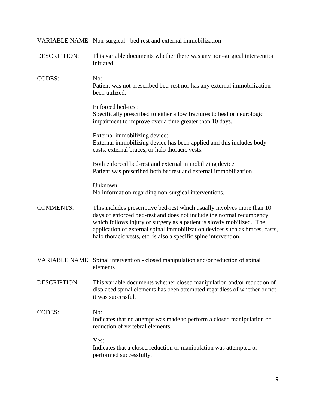|                     | VARIABLE NAME: Non-surgical - bed rest and external immobilization                                                                                                                                                                                                                                                                                                           |  |  |  |
|---------------------|------------------------------------------------------------------------------------------------------------------------------------------------------------------------------------------------------------------------------------------------------------------------------------------------------------------------------------------------------------------------------|--|--|--|
| <b>DESCRIPTION:</b> | This variable documents whether there was any non-surgical intervention<br>initiated.                                                                                                                                                                                                                                                                                        |  |  |  |
| <b>CODES:</b>       | No:<br>Patient was not prescribed bed-rest nor has any external immobilization<br>been utilized.                                                                                                                                                                                                                                                                             |  |  |  |
|                     | Enforced bed-rest:<br>Specifically prescribed to either allow fractures to heal or neurologic<br>impairment to improve over a time greater than 10 days.                                                                                                                                                                                                                     |  |  |  |
|                     | External immobilizing device:<br>External immobilizing device has been applied and this includes body<br>casts, external braces, or halo thoracic vests.                                                                                                                                                                                                                     |  |  |  |
|                     | Both enforced bed-rest and external immobilizing device:<br>Patient was prescribed both bedrest and external immobilization.                                                                                                                                                                                                                                                 |  |  |  |
|                     | Unknown:<br>No information regarding non-surgical interventions.                                                                                                                                                                                                                                                                                                             |  |  |  |
| <b>COMMENTS:</b>    | This includes prescriptive bed-rest which usually involves more than 10<br>days of enforced bed-rest and does not include the normal recumbency<br>which follows injury or surgery as a patient is slowly mobilized. The<br>application of external spinal immobilization devices such as braces, casts,<br>halo thoracic vests, etc. is also a specific spine intervention. |  |  |  |
|                     | VARIABLE NAME: Spinal intervention - closed manipulation and/or reduction of spinal<br>elements                                                                                                                                                                                                                                                                              |  |  |  |
| <b>DESCRIPTION:</b> | This variable documents whether closed manipulation and/or reduction of<br>displaced spinal elements has been attempted regardless of whether or not<br>it was successful.                                                                                                                                                                                                   |  |  |  |
| <b>CODES:</b>       | No:<br>Indicates that no attempt was made to perform a closed manipulation or<br>reduction of vertebral elements.                                                                                                                                                                                                                                                            |  |  |  |
|                     | Yes:<br>Indicates that a closed reduction or manipulation was attempted or<br>performed successfully.                                                                                                                                                                                                                                                                        |  |  |  |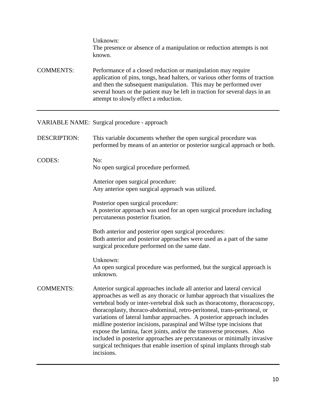Unknown: The presence or absence of a manipulation or reduction attempts is not known.

COMMENTS: Performance of a closed reduction or manipulation may require application of pins, tongs, head halters, or various other forms of traction and then the subsequent manipulation. This may be performed over several hours or the patient may be left in traction for several days in an attempt to slowly effect a reduction.

## VARIABLE NAME: Surgical procedure - approach

| <b>DESCRIPTION:</b> | This variable documents whether the open surgical procedure was<br>performed by means of an anterior or posterior surgical approach or both.                                                                                                                                                                                                                                                                                                                                                                                                                                                                                                                                                                     |  |  |
|---------------------|------------------------------------------------------------------------------------------------------------------------------------------------------------------------------------------------------------------------------------------------------------------------------------------------------------------------------------------------------------------------------------------------------------------------------------------------------------------------------------------------------------------------------------------------------------------------------------------------------------------------------------------------------------------------------------------------------------------|--|--|
| <b>CODES:</b>       | No:<br>No open surgical procedure performed.                                                                                                                                                                                                                                                                                                                                                                                                                                                                                                                                                                                                                                                                     |  |  |
|                     | Anterior open surgical procedure:<br>Any anterior open surgical approach was utilized.                                                                                                                                                                                                                                                                                                                                                                                                                                                                                                                                                                                                                           |  |  |
|                     | Posterior open surgical procedure:<br>A posterior approach was used for an open surgical procedure including<br>percutaneous posterior fixation.                                                                                                                                                                                                                                                                                                                                                                                                                                                                                                                                                                 |  |  |
|                     | Both anterior and posterior open surgical procedures:<br>Both anterior and posterior approaches were used as a part of the same<br>surgical procedure performed on the same date.                                                                                                                                                                                                                                                                                                                                                                                                                                                                                                                                |  |  |
|                     | Unknown:<br>An open surgical procedure was performed, but the surgical approach is<br>unknown.                                                                                                                                                                                                                                                                                                                                                                                                                                                                                                                                                                                                                   |  |  |
| <b>COMMENTS:</b>    | Anterior surgical approaches include all anterior and lateral cervical<br>approaches as well as any thoracic or lumbar approach that visualizes the<br>vertebral body or inter-vertebral disk such as thoracotomy, thoracoscopy,<br>thoracoplasty, thoraco-abdominal, retro-peritoneal, trans-peritoneal, or<br>variations of lateral lumbar approaches. A posterior approach includes<br>midline posterior incisions, paraspinal and Wiltse type incisions that<br>expose the lamina, facet joints, and/or the transverse processes. Also<br>included in posterior approaches are percutaneous or minimally invasive<br>surgical techniques that enable insertion of spinal implants through stab<br>incisions. |  |  |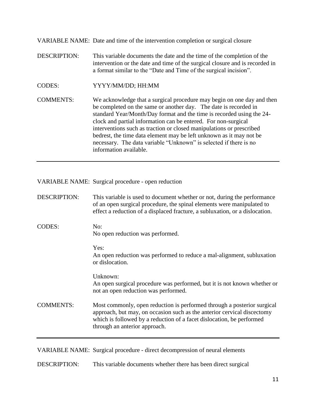VARIABLE NAME: Date and time of the intervention completion or surgical closure

- DESCRIPTION: This variable documents the date and the time of the completion of the intervention or the date and time of the surgical closure and is recorded in a format similar to the "Date and Time of the surgical incision".
- CODES: YYYY/MM/DD; HH:MM

COMMENTS: We acknowledge that a surgical procedure may begin on one day and then be completed on the same or another day. The date is recorded in standard Year/Month/Day format and the time is recorded using the 24 clock and partial information can be entered. For non-surgical interventions such as traction or closed manipulations or prescribed bedrest, the time data element may be left unknown as it may not be necessary. The data variable "Unknown" is selected if there is no information available.

VARIABLE NAME: Surgical procedure - open reduction

| <b>DESCRIPTION:</b> | This variable is used to document whether or not, during the performance<br>of an open surgical procedure, the spinal elements were manipulated to<br>effect a reduction of a displaced fracture, a subluxation, or a dislocation. |
|---------------------|------------------------------------------------------------------------------------------------------------------------------------------------------------------------------------------------------------------------------------|
| <b>CODES:</b>       | No:<br>No open reduction was performed.                                                                                                                                                                                            |
|                     | Yes:<br>An open reduction was performed to reduce a mal-alignment, subluxation<br>or dislocation.                                                                                                                                  |
|                     | Unknown:<br>An open surgical procedure was performed, but it is not known whether or<br>not an open reduction was performed.                                                                                                       |
| <b>COMMENTS:</b>    | Most commonly, open reduction is performed through a posterior surgical<br>approach, but may, on occasion such as the anterior cervical discectomy<br>which is followed by a reduction of a facet dislocation, be performed        |

VARIABLE NAME: Surgical procedure - direct decompression of neural elements

through an anterior approach.

DESCRIPTION: This variable documents whether there has been direct surgical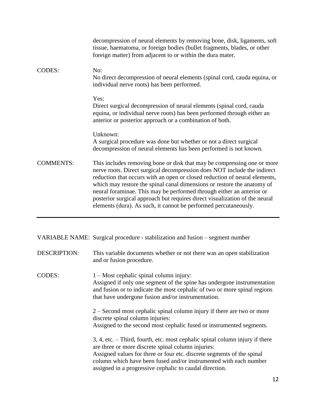|                  | decompression of neural elements by removing bone, disk, ligaments, soft<br>tissue, haematoma, or foreign bodies (bullet fragments, blades, or other<br>foreign matter) from adjacent to or within the dura mater.                                                                                                                                                                                                                                                                                                                       |
|------------------|------------------------------------------------------------------------------------------------------------------------------------------------------------------------------------------------------------------------------------------------------------------------------------------------------------------------------------------------------------------------------------------------------------------------------------------------------------------------------------------------------------------------------------------|
| <b>CODES:</b>    | No:<br>No direct decompression of neural elements (spinal cord, cauda equina, or<br>individual nerve roots) has been performed.                                                                                                                                                                                                                                                                                                                                                                                                          |
|                  | Yes:<br>Direct surgical decompression of neural elements (spinal cord, cauda<br>equina, or individual nerve roots) has been performed through either an<br>anterior or posterior approach or a combination of both.                                                                                                                                                                                                                                                                                                                      |
|                  | Unknown:<br>A surgical procedure was done but whether or not a direct surgical<br>decompression of neural elements has been performed is not known.                                                                                                                                                                                                                                                                                                                                                                                      |
| <b>COMMENTS:</b> | This includes removing bone or disk that may be compressing one or more<br>nerve roots. Direct surgical decompression does NOT include the indirect<br>reduction that occurs with an open or closed reduction of neural elements,<br>which may restore the spinal canal dimensions or restore the anatomy of<br>neural foraminae. This may be performed through either an anterior or<br>posterior surgical approach but requires direct visualization of the neural<br>elements (dura). As such, it cannot be performed percutaneously. |

| VARIABLE NAME: Surgical procedure - stabilization and fusion – segment number |  |  |  |  |  |  |
|-------------------------------------------------------------------------------|--|--|--|--|--|--|
|-------------------------------------------------------------------------------|--|--|--|--|--|--|

DESCRIPTION: This variable documents whether or not there was an open stabilization and or fusion procedure.

CODES: 1 – Most cephalic spinal column injury: Assigned if only one segment of the spine has undergone instrumentation and fusion or to indicate the most cephalic of two or more spinal regions that have undergone fusion and/or instrumentation.

> 2 – Second most cephalic spinal column injury if there are two or more discrete spinal column injuries: Assigned to the second most cephalic fused or instrumented segments.

3, 4, etc. – Third, fourth, etc. most cephalic spinal column injury if there are three or more discrete spinal column injuries: Assigned values for three or four etc. discrete segments of the spinal column which have been fused and/or instrumented with each number assigned in a progressive cephalic to caudal direction.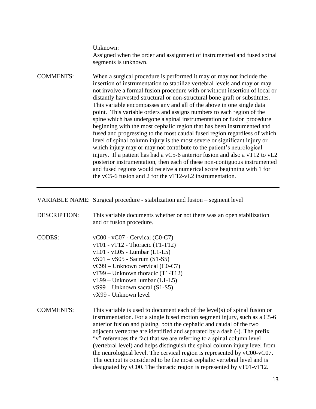Unknown:

Assigned when the order and assignment of instrumented and fused spinal segments is unknown.

COMMENTS: When a surgical procedure is performed it may or may not include the insertion of instrumentation to stabilize vertebral levels and may or may not involve a formal fusion procedure with or without insertion of local or distantly harvested structural or non-structural bone graft or substitutes. This variable encompasses any and all of the above in one single data point. This variable orders and assigns numbers to each region of the spine which has undergone a spinal instrumentation or fusion procedure beginning with the most cephalic region that has been instrumented and fused and progressing to the most caudal fused region regardless of which level of spinal column injury is the most severe or significant injury or which injury may or may not contribute to the patient's neurological injury. If a patient has had a vC5-6 anterior fusion and also a vT12 to vL2 posterior instrumentation, then each of these non-contiguous instrumented and fused regions would receive a numerical score beginning with 1 for the vC5-6 fusion and 2 for the vT12-vL2 instrumentation.

VARIABLE NAME: Surgical procedure - stabilization and fusion – segment level

| <b>DESCRIPTION:</b> | This variable documents whether or not there was an open stabilization<br>and or fusion procedure.                                                                                                                                                                                                                                                                                                                                                                                                                                                                                                                                                                                                    |
|---------------------|-------------------------------------------------------------------------------------------------------------------------------------------------------------------------------------------------------------------------------------------------------------------------------------------------------------------------------------------------------------------------------------------------------------------------------------------------------------------------------------------------------------------------------------------------------------------------------------------------------------------------------------------------------------------------------------------------------|
| <b>CODES:</b>       | $vCO0 - vCO7 - Cervical (CO-C7)$<br>$vT01 - vT12$ - Thoracic (T1-T12)<br>$vL01 - vL05 - Lumbar (L1-L5)$<br>$vS01 - vS05$ - Sacrum (S1-S5)<br>vC99 - Unknown cervical (C0-C7)<br>$vT99 - Unknown thoracic (T1-T12)$<br>$vL99$ – Unknown lumbar (L1-L5)<br>$vS99$ – Unknown sacral (S1-S5)<br>vX99 - Unknown level                                                                                                                                                                                                                                                                                                                                                                                      |
| <b>COMMENTS:</b>    | This variable is used to document each of the level(s) of spinal fusion or<br>instrumentation. For a single fused motion segment injury, such as a C5-6<br>anterior fusion and plating, both the cephalic and caudal of the two<br>adjacent vertebrae are identified and separated by a dash (-). The prefix<br>"v" references the fact that we are referring to a spinal column level<br>(vertebral level) and helps distinguish the spinal column injury level from<br>the neurological level. The cervical region is represented by vC00-vC07.<br>The occiput is considered to be the most cephalic vertebral level and is<br>designated by vC00. The thoracic region is represented by vT01-vT12. |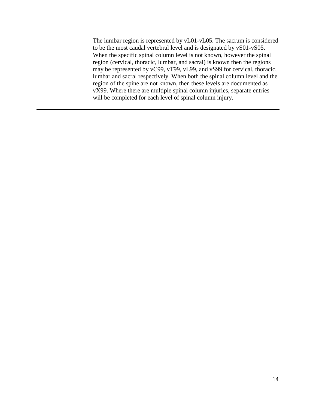The lumbar region is represented by vL01-vL05. The sacrum is considered to be the most caudal vertebral level and is designated by vS01-vS05. When the specific spinal column level is not known, however the spinal region (cervical, thoracic, lumbar, and sacral) is known then the regions may be represented by vC99, vT99, vL99, and vS99 for cervical, thoracic, lumbar and sacral respectively. When both the spinal column level and the region of the spine are not known, then these levels are documented as vX99. Where there are multiple spinal column injuries, separate entries will be completed for each level of spinal column injury.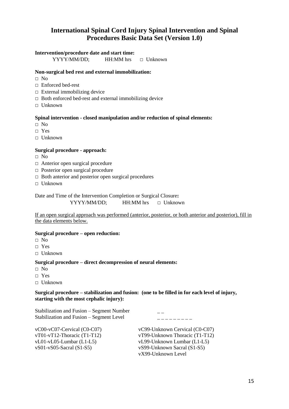# **International Spinal Cord Injury Spinal Intervention and Spinal Procedures Basic Data Set (Version 1.0)**

#### **Intervention/procedure date and start time:**

YYYY/MM/DD; HH:MM hrs **□** Unknown

#### **Non-surgical bed rest and external immobilization:**

- **□** No
- **□** Enforced bed-rest
- □ External immobilizing device
- **□** Both enforced bed-rest and external immobilizing device
- **□** Unknown

#### **Spinal intervention - closed manipulation and/or reduction of spinal elements:**

- **□** No
- □ Yes
- **□** Unknown

#### **Surgical procedure - approach:**

- **□** No
- □ Anterior open surgical procedure
- **□** Posterior open surgical procedure
- **□** Both anterior and posterior open surgical procedures
- □ Unknown

Date and Time of the Intervention Completion or Surgical Closure**:**  YYYY/MM/DD; HH:MM hrs **□** Unknown

If an open surgical approach was performed (anterior, posterior, or both anterior and posterior), fill in the data elements below.

#### **Surgical procedure – open reduction:**

- **□** No
- **□** Yes
- **□** Unknown

#### **Surgical procedure – direct decompression of neural elements:**

- **□** No
- □ Yes
- **□** Unknown

#### **Surgical procedure – stabilization and fusion: (one to be filled in for each level of injury, starting with the most cephalic injury):**

Stabilization and Fusion – Segment Number Stabilization and Fusion – Segment Level \_ \_ \_ \_ \_ \_ \_ \_ \_

vC00-vC07-Cervical (C0-C07) vT01-vT12-Thoracic (T1-T12) vL01-vL05-Lumbar (L1-L5) vS01-vS05-Sacral (S1-S5)

vC99-Unknown Cervical (C0-C07) vT99-Unknown Thoracic (T1-T12) vL99-Unknown Lumbar (L1-L5) vS99-Unknown Sacral (S1-S5) vX99-Unknown Level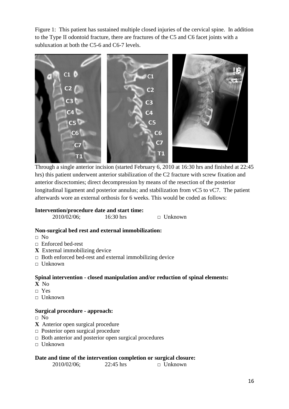Figure 1: This patient has sustained multiple closed injuries of the cervical spine. In addition to the Type II odontoid fracture, there are fractures of the C5 and C6 facet joints with a subluxation at both the C5-6 and C6-7 levels.



Through a single anterior incision (started February 6, 2010 at 16:30 hrs and finished at 22:45 hrs) this patient underwent anterior stabilization of the C2 fracture with screw fixation and anterior discectomies; direct decompression by means of the resection of the posterior longitudinal ligament and posterior annulus; and stabilization from vC5 to vC7. The patient afterwards wore an external orthosis for 6 weeks. This would be coded as follows:

#### **Intervention/procedure date and start time:**

2010/02/06; 16:30 hrs **□** Unknown

# **Non-surgical bed rest and external immobilization:**

- **□** No
- **□** Enforced bed-rest
- **X** External immobilizing device
- □ Both enforced bed-rest and external immobilizing device
- **□** Unknown

# **Spinal intervention - closed manipulation and/or reduction of spinal elements:**

- **X** No
- **□** Yes
- **□** Unknown

# **Surgical procedure - approach:**

- **□** No
- **X** Anterior open surgical procedure
- **□** Posterior open surgical procedure
- **□** Both anterior and posterior open surgical procedures
- **□** Unknown

#### **Date and time of the intervention completion or surgical closure:**

2010/02/06; 22:45 hrs **□** Unknown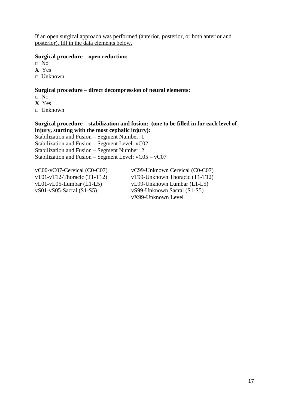If an open surgical approach was performed (anterior, posterior, or both anterior and posterior), fill in the data elements below.

#### **Surgical procedure – open reduction:**

**□** No

**X** Yes

**□** Unknown

#### **Surgical procedure – direct decompression of neural elements:**

- **□** No
- **X** Yes

**□** Unknown

## **Surgical procedure – stabilization and fusion: (one to be filled in for each level of injury, starting with the most cephalic injury):**

Stabilization and Fusion – Segment Number: 1 Stabilization and Fusion – Segment Level: vC02 Stabilization and Fusion – Segment Number: 2 Stabilization and Fusion – Segment Level: vC05 – vC07

vC00-vC07-Cervical (C0-C07) vT01-vT12-Thoracic (T1-T12) vL01-vL05-Lumbar (L1-L5) vS01-vS05-Sacral (S1-S5)

vC99-Unknown Cervical (C0-C07) vT99-Unknown Thoracic (T1-T12) vL99-Unknown Lumbar (L1-L5) vS99-Unknown Sacral (S1-S5) vX99-Unknown Level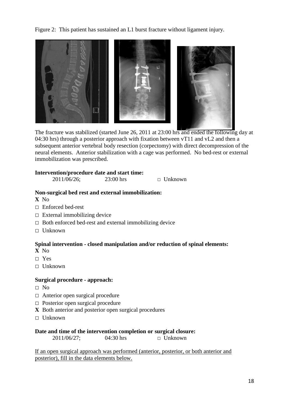Figure 2: This patient has sustained an L1 burst fracture without ligament injury.



The fracture was stabilized (started June 26, 2011 at 23:00 hrs and ended the following day at 04:30 hrs) through a posterior approach with fixation between vT11 and vL2 and then a subsequent anterior vertebral body resection (corpectomy) with direct decompression of the neural elements. Anterior stabilization with a cage was performed. No bed-rest or external immobilization was prescribed.

#### **Intervention/procedure date and start time:**

| 2011/06/26; | $23:00$ hrs | $\Box$ Unknown |
|-------------|-------------|----------------|
|             |             |                |

#### **Non-surgical bed rest and external immobilization:**

**X** No

- **□** Enforced bed-rest
- **□** External immobilizing device
- **□** Both enforced bed-rest and external immobilizing device
- **□** Unknown

# **Spinal intervention - closed manipulation and/or reduction of spinal elements:**

**X** No

- **□** Yes
- □ Unknown

#### **Surgical procedure - approach:**

- **□** No
- **□** Anterior open surgical procedure
- □ Posterior open surgical procedure
- **X** Both anterior and posterior open surgical procedures
- **□** Unknown

#### **Date and time of the intervention completion or surgical closure:**

2011/06/27; 04:30 hrs **□** Unknown

If an open surgical approach was performed (anterior, posterior, or both anterior and posterior), fill in the data elements below.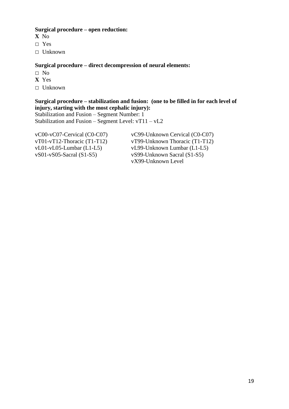## **Surgical procedure – open reduction:**

- **X** No
- **□** Yes
- □ Unknown

# **Surgical procedure – direct decompression of neural elements:**

- **□** No
- **X** Yes
- □ Unknown

# **Surgical procedure – stabilization and fusion: (one to be filled in for each level of injury, starting with the most cephalic injury):**

Stabilization and Fusion – Segment Number: 1 Stabilization and Fusion – Segment Level: vT11 – vL2

vC00-vC07-Cervical (C0-C07) vT01-vT12-Thoracic (T1-T12) vL01-vL05-Lumbar (L1-L5) vS01-vS05-Sacral (S1-S5)

vC99-Unknown Cervical (C0-C07) vT99-Unknown Thoracic (T1-T12) vL99-Unknown Lumbar (L1-L5) vS99-Unknown Sacral (S1-S5) vX99-Unknown Level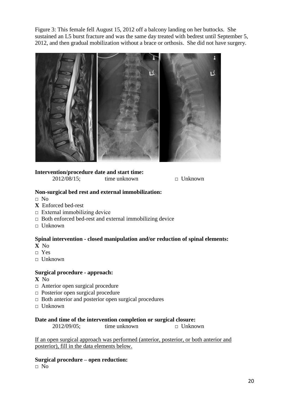Figure 3: This female fell August 15, 2012 off a balcony landing on her buttocks. She sustained an L5 burst fracture and was the same day treated with bedrest until September 5, 2012, and then gradual mobilization without a brace or orthosis. She did not have surgery.



## **Intervention/procedure date and start time:**

2012/08/15; time unknown **□** Unknown

## **Non-surgical bed rest and external immobilization:**

- **□** No
- **X** Enforced bed-rest
- $\Box$  External immobilizing device
- **□** Both enforced bed-rest and external immobilizing device
- **□** Unknown

# **Spinal intervention - closed manipulation and/or reduction of spinal elements:**

- **X** No
- **□** Yes
- **□** Unknown

# **Surgical procedure - approach:**

#### **X** No

- □ Anterior open surgical procedure
- **□** Posterior open surgical procedure
- **□** Both anterior and posterior open surgical procedures
- **□** Unknown

# **Date and time of the intervention completion or surgical closure:**

2012/09/05; time unknown **□** Unknown

If an open surgical approach was performed (anterior, posterior, or both anterior and posterior), fill in the data elements below.

**Surgical procedure – open reduction:** 

**□** No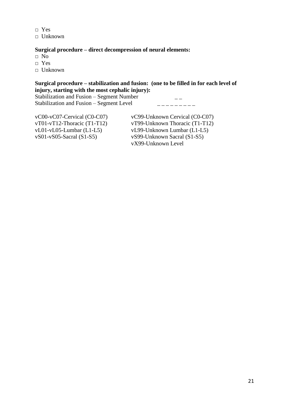**□** Yes **□** Unknown

## **Surgical procedure – direct decompression of neural elements:**

- **□** No
- **□** Yes
- **□** Unknown

# **Surgical procedure – stabilization and fusion: (one to be filled in for each level of injury, starting with the most cephalic injury):**

Stabilization and Fusion – Segment Number  $\overline{\phantom{a}}$  \_\_ Stabilization and Fusion – Segment Level  $\qquad \qquad \overline{\qquad}$ 

| $vCO0-vCO7$ -Cervical (C0-C07) | vC99-Unknown Cervical (C0-C07) |
|--------------------------------|--------------------------------|
| $vT01-vT12$ -Thoracic (T1-T12) | vT99-Unknown Thoracic (T1-T12) |
| $vL01-vL05$ -Lumbar (L1-L5)    | vL99-Unknown Lumbar (L1-L5)    |
| $vS01-vS05-Sacral(S1-S5)$      | vS99-Unknown Sacral (S1-S5)    |
|                                | vX99-Unknown Level             |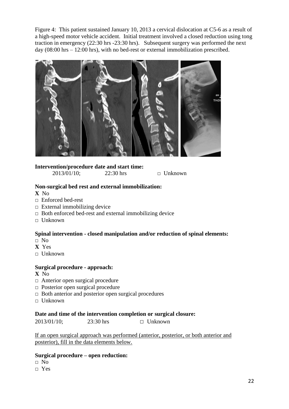Figure 4: This patient sustained January 10, 2013 a cervical dislocation at C5-6 as a result of a high-speed motor vehicle accident. Initial treatment involved a closed reduction using tong traction in emergency (22:30 hrs -23:30 hrs). Subsequent surgery was performed the next day (08:00 hrs – 12:00 hrs), with no bed-rest or external immobilization prescribed.



# **Intervention/procedure date and start time:**

2013/01/10; 22:30 hrs **□** Unknown

## **Non-surgical bed rest and external immobilization:**

**X** No

- **□** Enforced bed-rest
- **□** External immobilizing device
- **□** Both enforced bed-rest and external immobilizing device
- **□** Unknown

# **Spinal intervention - closed manipulation and/or reduction of spinal elements:**

- **□** No
- **X** Yes
- **□** Unknown

#### **Surgical procedure - approach:**

- **X** No
- □ Anterior open surgical procedure
- **□** Posterior open surgical procedure
- **□** Both anterior and posterior open surgical procedures
- **□** Unknown

### **Date and time of the intervention completion or surgical closure:**

2013/01/10; 23:30 hrs **□** Unknown

If an open surgical approach was performed (anterior, posterior, or both anterior and posterior), fill in the data elements below.

# **Surgical procedure – open reduction:**

- **□** No
- **□** Yes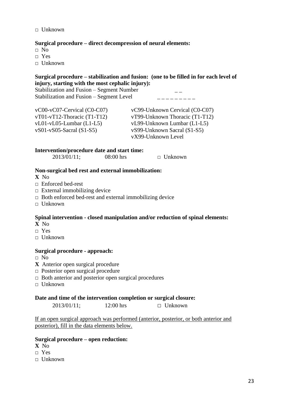**□** Unknown

## **Surgical procedure – direct decompression of neural elements:**

- **□** No
- **□** Yes
- **□** Unknown

#### **Surgical procedure – stabilization and fusion: (one to be filled in for each level of injury, starting with the most cephalic injury):**

Stabilization and Fusion – Segment Number \_ \_ Stabilization and Fusion – Segment Level  $\qquad \qquad \overline{\qquad}$ 

| $vCO0-vCO7$ -Cervical (C0-C07) | vC99-Unknown Cervical (C0-C07) |
|--------------------------------|--------------------------------|
| $vT01-vT12$ -Thoracic (T1-T12) | vT99-Unknown Thoracic (T1-T12) |
| $vL01-vL05$ -Lumbar (L1-L5)    | vL99-Unknown Lumbar (L1-L5)    |
| $vS01-vS05-Sacral(S1-S5)$      | vS99-Unknown Sacral (S1-S5)    |
|                                | vX99-Unknown Level             |

#### **Intervention/procedure date and start time:**

| 2013/01/11; | $08:00$ hrs | $\Box$ Unknown |
|-------------|-------------|----------------|
|             |             |                |

## **Non-surgical bed rest and external immobilization:**

- **X** No
- **□** Enforced bed-rest
- **□** External immobilizing device
- **□** Both enforced bed-rest and external immobilizing device
- **□** Unknown

# **Spinal intervention - closed manipulation and/or reduction of spinal elements:**

- **X** No
- **□** Yes
- **□** Unknown

# **Surgical procedure - approach:**

- **□** No
- **X** Anterior open surgical procedure
- □ Posterior open surgical procedure
- **□** Both anterior and posterior open surgical procedures
- **□** Unknown

#### **Date and time of the intervention completion or surgical closure:**

2013/01/11; 12:00 hrs **□** Unknown

If an open surgical approach was performed (anterior, posterior, or both anterior and posterior), fill in the data elements below.

## **Surgical procedure – open reduction:**

- **X** No
- **□** Yes
- **□** Unknown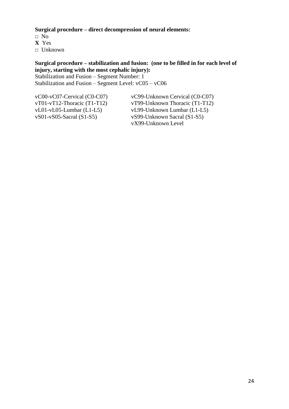**Surgical procedure – direct decompression of neural elements:** 

**□** No **X** Yes □ Unknown

# **Surgical procedure – stabilization and fusion: (one to be filled in for each level of injury, starting with the most cephalic injury):**

Stabilization and Fusion – Segment Number: 1 Stabilization and Fusion – Segment Level: vC05 – vC06

vC00-vC07-Cervical (C0-C07) vT01-vT12-Thoracic (T1-T12) vL01-vL05-Lumbar (L1-L5) vS01-vS05-Sacral (S1-S5)

vC99-Unknown Cervical (C0-C07) vT99-Unknown Thoracic (T1-T12) vL99-Unknown Lumbar (L1-L5) vS99-Unknown Sacral (S1-S5) vX99-Unknown Level